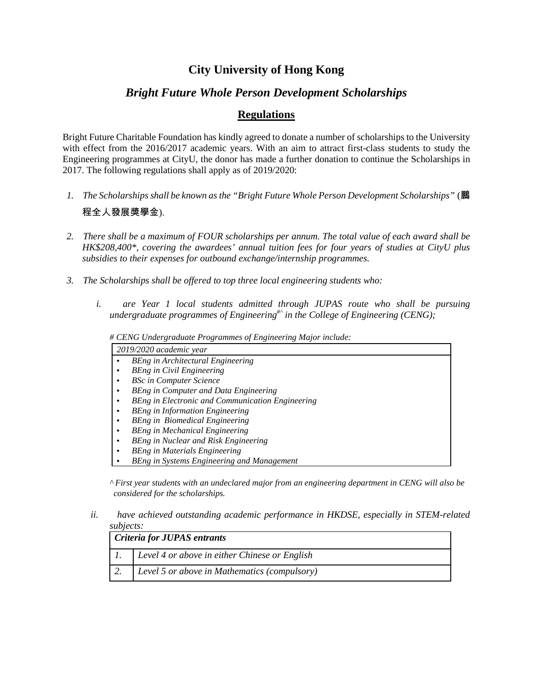# **City University of Hong Kong**

## *Bright Future Whole Person Development Scholarships*

### **Regulations**

Bright Future Charitable Foundation has kindly agreed to donate a number of scholarships to the University with effect from the 2016/2017 academic years. With an aim to attract first-class students to study the Engineering programmes at CityU, the donor has made a further donation to continue the Scholarships in 2017. The following regulations shall apply as of 2019/2020:

- *1. The Scholarships shall be known as the "Bright Future Whole Person Development Scholarships"* (鵬 程全人發展獎學金).
- *2. There shall be a maximum of FOUR scholarships per annum. The total value of each award shall be HK\$208,400\*, covering the awardees' annual tuition fees for four years of studies at CityU plus subsidies to their expenses for outbound exchange/internship programmes.*
- *3. The Scholarships shall be offered to top three local engineering students who:*
	- *i. are Year 1 local students admitted through JUPAS route who shall be pursuing undergraduate programmes of Engineering#^ in the College of Engineering (CENG);*

| # CENG Undergraduate Programmes of Engineering Major include: |                                                         |  |
|---------------------------------------------------------------|---------------------------------------------------------|--|
| 2019/2020 academic year                                       |                                                         |  |
|                                                               | <b>BEng in Architectural Engineering</b>                |  |
| ٠                                                             | <b>BEng in Civil Engineering</b>                        |  |
|                                                               | <b>BSc in Computer Science</b>                          |  |
|                                                               | BEng in Computer and Data Engineering                   |  |
|                                                               | <b>BEng in Electronic and Communication Engineering</b> |  |
|                                                               | <b>BEng in Information Engineering</b>                  |  |
|                                                               | <b>BEng</b> in Biomedical Engineering                   |  |
|                                                               | <b>BEng in Mechanical Engineering</b>                   |  |
|                                                               | BEng in Nuclear and Risk Engineering                    |  |
|                                                               | <b>BEng in Materials Engineering</b>                    |  |
|                                                               | BEng in Systems Engineering and Management              |  |

*^ First year students with an undeclared major from an engineering department in CENG will also be considered for the scholarships.*

### *ii. have achieved outstanding academic performance in HKDSE, especially in STEM-related subjects:*

| <b>Criteria for JUPAS entrants</b> |                                               |
|------------------------------------|-----------------------------------------------|
|                                    | Level 4 or above in either Chinese or English |
|                                    | Level 5 or above in Mathematics (compulsory)  |